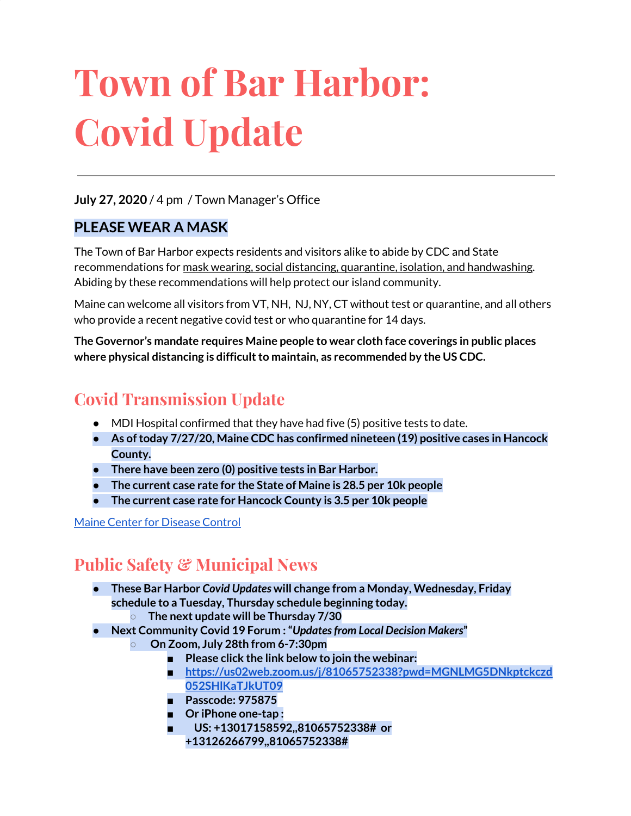# **Town of Bar Harbor: Covid Update**

### **July 27, 2020** / 4 pm / Town Manager's Office

## **PLEASE WEAR A MASK**

The Town of Bar Harbor expects residents and visitors alike to abide by CDC and State recommendations for mask wearing, social distancing, quarantine, isolation, and handwashing. Abiding by these recommendations will help protect our island community.

Maine can welcome all visitors from VT, NH, NJ, NY, CT without test or quarantine, and all others who provide a recent negative covid test or who quarantine for 14 days.

**The Governor's mandate requires Maine people to wear cloth face coverings in public places where physical distancing is difficultto maintain, as recommended by the US CDC.**

# **Covid Transmission Update**

- $\bullet$  MDI Hospital confirmed that they have had five (5) positive tests to date.
- **● As oftoday 7/27/20, Maine CDC has confirmed nineteen (19) positive cases in Hancock County.**
- **● There have been zero (0) positive tests in Bar Harbor.**
- **● The current case rate for the State of Maine is 28.5 per 10k people**
- **● The current case rate for Hancock County is 3.5 per 10k people**

#### Maine Center for [Disease](https://www.maine.gov/dhhs/mecdc/infectious-disease/epi/airborne/coronavirus.shtml) Control

# **Public Safety & Municipal News**

- **● These Bar Harbor** *Covid Updates* **will change from a Monday, Wednesday, Friday schedule to a Tuesday, Thursday schedule beginning today.**
	- **○ The next update will be Thursday 7/30**
- **● Next Community Covid 19 Forum :"***Updatesfrom Local Decision Makers***"**
	- **○ On Zoom, July 28th from 6-7:30pm**
		- **■ Please click the link below to join the webinar:**
		- **■ [https://us02web.zoom.us/j/81065752338?pwd=MGNLMG5DNkptckczd](https://us02web.zoom.us/j/81065752338?pwd=MGNLMG5DNkptckczd052SHlKaTJkUT09) [052SHlKaTJkUT09](https://us02web.zoom.us/j/81065752338?pwd=MGNLMG5DNkptckczd052SHlKaTJkUT09)**
		- **■ Passcode: 975875**
		- **■ Or iPhone one-tap :**
		- **■ US: +13017158592,,81065752338# or +13126266799,,81065752338#**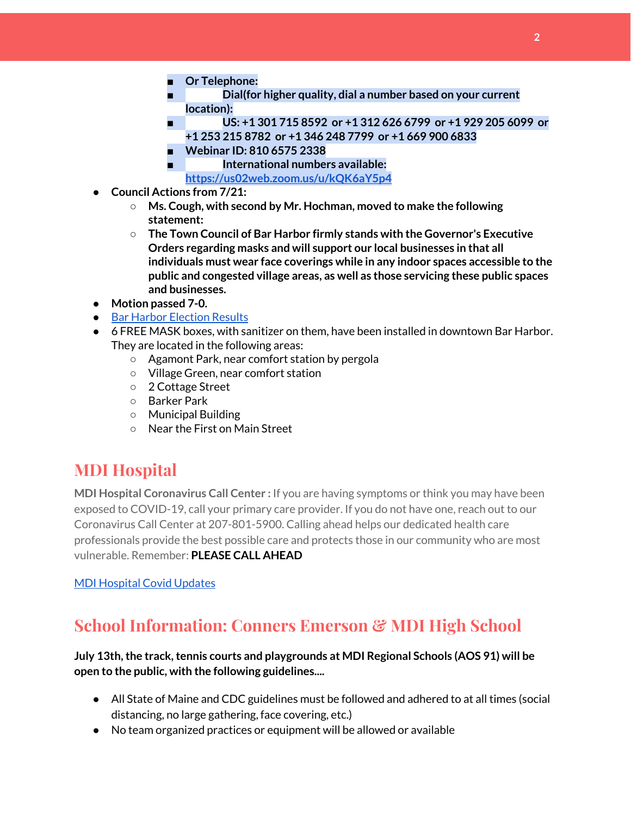- **■ Or Telephone:**
- **■ Dial(for higher quality, dial a number based on your current location):**
- **■ US: +1 301 715 8592 or +1 312 626 6799 or +1 929 205 6099 or +1 253 215 8782 or +1 346 248 7799 or +1 669 900 6833**
- **■ Webinar ID: 810 6575 2338**
	- **■ International numbers available: <https://us02web.zoom.us/u/kQK6aY5p4>**
- **● Council Actions from 7/21:**
	- **○ Ms. Cough, with second by Mr. Hochman, moved to make the following statement:**
	- **○ The Town Council of Bar Harbor firmly stands with the Governor's Executive Orders regarding masks and will support our local businesses in that all individuals must wear face coverings while in any indoor spaces accessible to the public and congested village areas, as well as those servicing these public spaces and businesses.**
- **Motion passed 7-0.**
- Bar Harbor [Election](http://www.barharbormaine.gov/CivicAlerts.aspx?AID=703) Results
- 6 FREE MASK boxes, with sanitizer on them, have been installed in downtown Bar Harbor. They are located in the following areas:
	- Agamont Park, near comfort station by pergola
	- Village Green, near comfort station
	- 2 Cottage Street
	- Barker Park
	- Municipal Building
	- Near the First on Main Street

## **MDI Hospital**

**MDI Hospital Coronavirus Call Center :** If you are having symptoms or think you may have been exposed to COVID-19, call your primary care provider. If you do not have one, reach out to our Coronavirus Call Center at 207-801-5900. Calling ahead helps our dedicated health care professionals provide the best possible care and protects those in our community who are most vulnerable. Remember: **PLEASE CALL AHEAD**

#### MDI [Hospital](https://www.mdihospital.org/covid-19/?fbclid=IwAR2Q31t4a6H1pxDfUeqSzFcmp5UbRlSwe93i58zEkHstfexp5EgoHB5cxGU) Covid Updates

## **School Information: Conners Emerson & MDI High School**

#### **July 13th,the track,tennis courts and playgrounds at MDI Regional Schools (AOS 91) will be open to the public, with the following guidelines....**

- All State of Maine and CDC guidelines must be followed and adhered to at all times (social distancing, no large gathering, face covering, etc.)
- No team organized practices or equipment will be allowed or available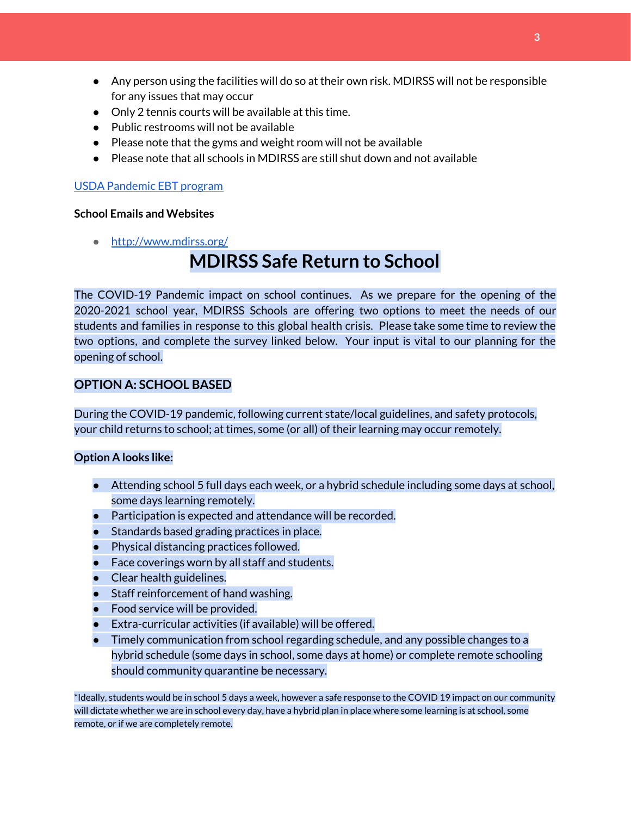- Any person using the facilities will do so at their own risk. MDIRSS will not be responsible for any issues that may occur
- Only 2 tennis courts will be available at this time.
- Public restrooms will not be available
- Please note that the gyms and weight room will not be available
- Please note that all schools in MDIRSS are still shut down and not available

#### USDA [Pandemic](http://track.spe.schoolmessenger.com/f/a/j6GQx4nFl3Rld4Q68tYCuA~~/AAAAAQA~/RgRgu5_JP0SlaHR0cHM6Ly9tYWlsLmdvb2dsZS5jb20vbWFpbC91LzAvP3RhYj1jbSNzZWFyY2gvZnJvbSUzQStiZWVzbGV5L1doY3RLSlZyQ0NUS1JmUldCTFdkUVpGZ2pUVlhNdkRwUVpIa2NoRkJCc3NGcHJxZEtnWFF3S05Tamt3R1RxTFpaS21wTkRHP3Byb2plY3Rvcj0xJm1lc3NhZ2VQYXJ0SWQ9MC4xVwdzY2hvb2xtQgoARkls2l72Ls-jUhhiYXJoYXJib3JqZXdlbEBnbWFpbC5jb21YBAAAAAE~) EBT program

#### **School Emails and Websites**

● <http://www.mdirss.org/>

# **MDIRSS Safe Return to School**

The COVID-19 Pandemic impact on school continues. As we prepare for the opening of the 2020-2021 school year, MDIRSS Schools are offering two options to meet the needs of our students and families in response to this global health crisis. Please take some time to review the two options, and complete the survey linked below. Your input is vital to our planning for the opening of school.

#### **OPTION A: SCHOOL BASED**

During the COVID-19 pandemic, following current state/local guidelines, and safety protocols, your child returns to school; at times, some (or all) of their learning may occur remotely.

#### **Option A looks like:**

- Attending school 5 full days each week, or a hybrid schedule including some days at school, some days learning remotely.
- Participation is expected and attendance will be recorded.
- Standards based grading practices in place.
- Physical distancing practices followed.
- Face coverings worn by all staff and students.
- Clear health guidelines.
- Staff reinforcement of hand washing.
- Food service will be provided.
- Extra-curricular activities (if available) will be offered.
- Timely communication from school regarding schedule, and any possible changes to a hybrid schedule (some days in school, some days at home) or complete remote schooling should community quarantine be necessary.

\*Ideally, students would be in school 5 days a week, however a safe response to the COVID 19 impact on our community will dictate whether we are in school every day, have a hybrid plan in place where some learning is at school, some remote, or if we are completely remote.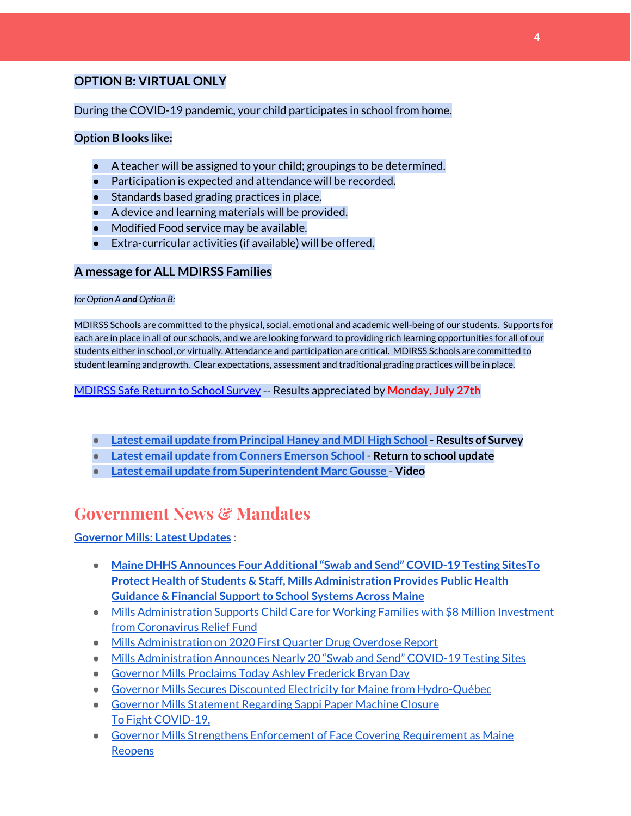#### **OPTION B: VIRTUAL ONLY**

#### During the COVID-19 pandemic, your child participates in school from home.

#### **Option B looks like:**

- A teacher will be assigned to your child; groupings to be determined.
- Participation is expected and attendance will be recorded.
- Standards based grading practices in place.
- A device and learning materials will be provided.
- Modified Food service may be available.
- Extra-curricular activities (if available) will be offered.

#### **A message for ALL MDIRSS Families**

#### *for Option A and Option B:*

MDIRSS Schools are committed to the physical, social, emotional and academic well-being of our students. Supports for each are in place in all of our schools, and we are looking forward to providing rich learning opportunities for all of our students either in school, or virtually. Attendance and participation are critical. MDIRSS Schools are committed to student learning and growth. Clear expectations, assessment and traditional grading practices will be in place.

#### [MDIRSS](http://track.spe.schoolmessenger.com/f/a/kiM2Y100d4Wq3XM3SFxoJQ~~/AAAAAQA~/RgRg-udtP0RjaHR0cHM6Ly9kb2NzLmdvb2dsZS5jb20vZm9ybXMvZC9lLzFGQUlwUUxTZDE3UzdfZEhOVGtxMWI3WV8zMndXY3lid1VkRnVvYWhGcmtSQTBRbUlsNERQWnp3L3ZpZXdmb3JtVwdzY2hvb2xtQgoAR-2zGV8FI9NbUhhiYXJoYXJib3JqZXdlbEBnbWFpbC5jb21YBAAAAAE~) Safe Return to School Survey -- Results appreciated by **Monday, July 27th**

- **● Latest email update from [Principal](https://docs.google.com/document/d/1OKDsYNtOgV0FI9xAcXwQvenOKLV0S2vBg1o5jtu5CrE/edit?usp=sharing) Haney and MDI High School - Results of Survey**
- **● Latest email update from Conners [Emerson](https://docs.google.com/document/d/1v3pgkG6Q-9S3gisuUIj4etPVDwgBKl4P00JBkvZr-kk/edit?usp=sharing) School - Return to school update**
- **● Latest email update from [Superintendent](https://docs.google.com/document/d/1fzeCbc8gpTSKmUaDoQH1Avx5PVl-h0reFphXrT1eUNA/edit?usp=sharing) Marc Gousse - Video**

## **Government News & Mandates**

#### **[Governor](https://www.maine.gov/governor/mills/) Mills: Latest Updates :**

- **● Maine DHHS Announces Four [Additional"Swab](https://www.maine.gov/governor/mills/news/maine-dhhs-announces-four-additional-swab-and-send-covid-19-testing-sites-2020-07-21) and Send" COVID-19 Testing Sites[To](https://www.maine.gov/governor/mills/news/protect-health-students-staff-mills-administration-provides-public-health-guidance-financial) Protect Health of Students & Staff, Mills [Administration](https://www.maine.gov/governor/mills/news/protect-health-students-staff-mills-administration-provides-public-health-guidance-financial) Provides Public Health Guidance & Financial Support to School Systems Across Maine**
- Mills [Administration](https://www.maine.gov/governor/mills/news/mills-administration-supports-child-care-working-families-8-million-investment-coronavirus) Supports Child Care for Working Families with \$8 Million Investment from [Coronavirus](https://www.maine.gov/governor/mills/news/mills-administration-supports-child-care-working-families-8-million-investment-coronavirus) Relief Fund
- Mills [Administration](https://www.maine.gov/governor/mills/news/mills-administration-2020-first-quarter-drug-overdose-report-2020-07-17) on 2020 First Quarter Drug Overdose Report
- Mills [Administration](https://www.maine.gov/governor/mills/news/mills-administration-announces-nearly-20-swab-and-send-covid-19-testing-sites-2020-07-14) Announces Nearly 20 "Swab and Send" COVID-19 Testing Sites
- Governor Mills [Proclaims](https://www.maine.gov/governor/mills/news/governor-mills-proclaims-today-ashley-frederick-bryan-day-2020-07-13) Today Ashley Frederick Bryan Day
- Governor Mills Secures Discounted Electricity for Maine from [Hydro-Québec](https://www.maine.gov/governor/mills/news/governor-mills-secures-discounted-electricity-maine-hydro-quebec-2020-07-10)
- Governor Mills [Statement](https://www.maine.gov/governor/mills/news/governor-mills-statement-regarding-sappi-paper-machine-closure-2020-07-09) Regarding Sappi Paper Machine Closure To Fight [COVID-19,](https://www.maine.gov/governor/mills/news/fight-covid-19-governor-mills-strengthens-enforcement-face-covering-requirement-maine-reopens)
- Governor Mills Strengthens Enforcement of Face Covering [Requirement](https://www.maine.gov/governor/mills/news/fight-covid-19-governor-mills-strengthens-enforcement-face-covering-requirement-maine-reopens) as Maine [Reopens](https://www.maine.gov/governor/mills/news/fight-covid-19-governor-mills-strengthens-enforcement-face-covering-requirement-maine-reopens)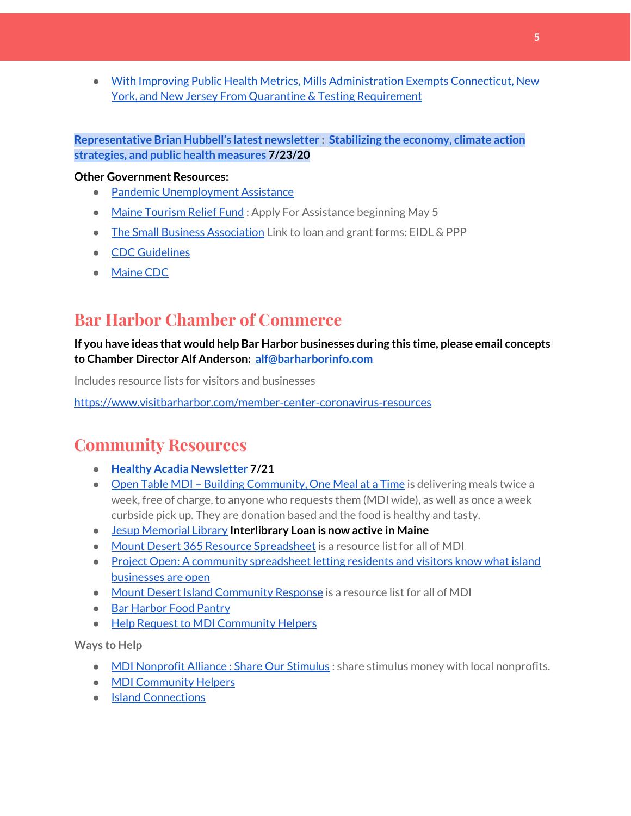● With Improving Public Health Metrics, Mills [Administration](https://www.maine.gov/governor/mills/news/improving-public-health-metrics-mills-administration-exempts-connecticut-new-york-and-new) Exempts Connecticut, New York, and New Jersey From Quarantine & Testing [Requirement](https://www.maine.gov/governor/mills/news/improving-public-health-metrics-mills-administration-exempts-connecticut-new-york-and-new)

#### **[Representative](http://www.rephubbell.com/) Brian Hubbell's latest newsletter : [Stabilizing](http://www.rephubbell.com/2020/07/23/stabilizing-the-economy-climate-action-strategies-and-public-health-measures/) the economy, climate action [strategies,](http://www.rephubbell.com/2020/07/23/stabilizing-the-economy-climate-action-strategies-and-public-health-measures/) and public health measures 7/23/20**

#### **Other Government Resources:**

- Pandemic [Unemployment](https://www.maine.gov/unemployment/pua/) Assistance
- Maine [Tourism](https://www.mainetourism.com/maine-tourism-relief-fund/) Relief Fund: Apply For Assistance beginning May 5
- The Small Business [Association](https://www.sba.gov/) Link to loan and grant forms: EIDL & PPP
- CDC [Guidelines](https://www.cdc.gov/coronavirus/2019-nCoV/index.html)
- [Maine](https://www.maine.gov/dhhs/mecdc/infectious-disease/epi/airborne/coronavirus.shtml#news) CDC

## **Bar Harbor Chamber of Commerce**

#### **If you have ideas that would help Bar Harbor businesses during this time, please email concepts to Chamber Director Alf Anderson: [alf@barharborinfo.com](mailto:alf@barharborinfo.com)**

Includes resource lists for visitors and businesses

<https://www.visitbarharbor.com/member-center-coronavirus-resources>

# **Community Resources**

- **● Healthy Acadia [Newsletter](https://mailchi.mp/healthyacadia.org/july_21_2020) [7](https://mailchi.mp/healthyacadia.org/july_21_2020)/21**
- Open Table MDI Building [Community,](https://www.opentablemdi.org/) One Meal at a Time is delivering meals twice a week, free of charge, to anyone who requests them (MDI wide), as well as once a week curbside pick up. They are donation based and the food is healthy and tasty.
- Jesup [Memorial](https://jesuplibrary.org/) Library **Interlibrary Loan is now active in Maine**
- Mount Desert 365 Resource [Spreadsheet](https://docs.google.com/spreadsheets/d/1okAx6HSsgXZY9CGH07Dzi6rqe7a6m4dLCPKot2Li7Ek/edit?usp=sharing) is a resource list for all of MDI
- Project Open: A community [spreadsheet](https://docs.google.com/spreadsheets/d/1dBicBiBXGzzWEFd9oqL7EBDbFWjDCPl6SSMea_Kt4pc/htmlview#) letting residents and visitors know what island [businesses](https://docs.google.com/spreadsheets/d/1dBicBiBXGzzWEFd9oqL7EBDbFWjDCPl6SSMea_Kt4pc/htmlview#) are open
- Mount Desert Island [Community](https://www.mdicr.org/) Response is a resource list for all of MDI
- Bar [Harbor](https://www.barharborfoodpantry.org/) Food Pantry
- Help Request to MDI [Community](https://docs.google.com/forms/d/e/1FAIpQLSeZfu0tCcthHc9oL7tPomVRdniYiE7nbT_kkK9iCSRgqDhOvQ/viewform) Helpers

**Ways to Help**

- MDI [Nonprofit](https://sites.google.com/mdina.org/public/sos-mdi?authuser=0) Alliance : Share Our Stimulus : share stimulus money with local nonprofits.
- MDI [Community](https://docs.google.com/forms/d/e/1FAIpQLSe_CJUFdVvwJkmymWRqUeK8bx3m7n4uSOuUPYHqXSAyH2DBoQ/viewform?fbclid=IwAR25hjnWGhnMP0lOWMcBPRBumhtQCJGZO4hlk-T-VjNGZljL1kVX5pWrL6U) Helpers
- Island [Connections](http://islconnections.org/contact-us/)